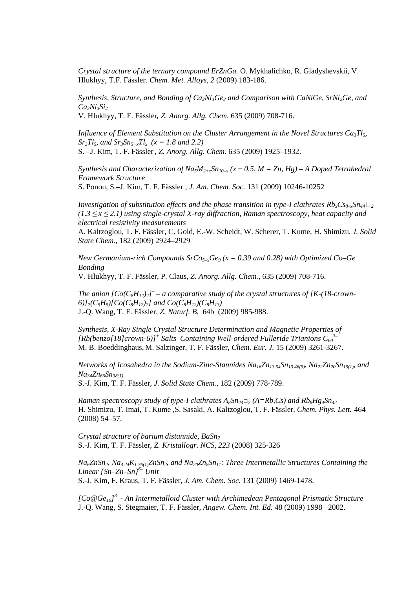*Crystal structure of the ternary compound ErZnGa.* O. Mykhalichko, R. Gladyshevskii, V. Hlukhyy, T.F. Fässler. *Chem. Met. Alloys*, *2* (2009) 183-186.

*Synthesis, Structure, and Bonding of Ca2Ni3Ge2 and Comparison with CaNiGe, SrNi2Ge, and*   $Ca<sub>3</sub>Ni<sub>3</sub>Si<sub>2</sub>$ 

V. Hlukhyy, T. F. Fässler*, Z. Anorg. Allg. Chem.* 635 (2009) 708-716.

*Influence of Element Substitution on the Cluster Arrangement in the Novel Structures Ca3Tl5, Sr3Tl5, and Sr3Sn5−xTl<sup>x</sup> (x = 1.8 and 2.2)* 

S. –J. Kim, T. F. Fässler, , *Z. Anorg. Allg. Chem.* 635 (2009) 1925–1932.

*Synthesis and Characterization of Na<sub>5</sub>* $M_{2+x}$ *Sn<sub>10–x</sub> (x ~ 0.5, M = Zn, Hg) – A Doped Tetrahedral Framework Structure* 

S. Ponou, S.–J. Kim, T. F. Fässler , *J. Am. Chem. Soc.* 131 (2009) 10246-10252

*Investigation of substitution effects and the phase transition in type-I clathrates*  $Rb_xCs_{8-x}Sn_{44}$ *<sup>* $2$ *</sup> (1.3 ≤ x ≤ 2.1) using single-crystal X-ray diffraction, Raman spectroscopy, heat capacity and electrical resistivity measurements*

A. Kaltzoglou, T. F. Fässler, C. Gold, E.-W. Scheidt, W. Scherer, T. Kume, H. Shimizu, *J. Solid State Chem.,* 182 (2009) 2924–2929

*New Germanium-rich Compounds SrCo5–xGe9 (x = 0.39 and 0.28) with Optimized Co–Ge Bonding*

V. Hlukhyy, T. F. Fässler, P. Claus, *Z. Anorg. Allg. Chem.*, 635 (2009) 708-716.

*The anion*  $[Co(C_8H_{12})_2]$ <sup> $-$ </sup> *– a comparative study of the crystal structures of [K-(18-crown-* $6)$  $\frac{1}{2}(C_5H_5)[C_0(C_8H_{12})_2]$  and  $C_0(C_8H_{12})(C_8H_{13})$ J.-Q. Wang, T. F. Fässler, *Z. Naturf. B*, 64b (2009) 985-988.

*Synthesis, X-Ray Single Crystal Structure Determination and Magnetic Properties of*  [Rb(benzo[18]crown-6)]<sup>+</sup> Salts Containing Well-ordered Fulleride Trianions  $C_{60}$ <sup>3</sup> M. B. Boeddinghaus, M. Salzinger, T. F. Fässler, *Chem. Eur. J.* 15 (2009) 3261-3267.

*Networks of Icosahedra in the Sodium-Zinc-Stannides Na16Zn13.54Sn13.46(5), Na22Zn20Sn19(1), and Na34Zn66Sn38(1)* S.-J. Kim, T. F. Fässler*, J. Solid State Chem.,* 182 (2009) 778-789.

*Raman spectroscopy study of type-I clathrates A8Sn44□2 (A=Rb,Cs) and Rb8Hg4Sn<sup>42</sup>* H. Shimizu, T. Imai, T. Kume ,S. Sasaki, A. Kaltzoglou, T. F. Fässler, *Chem. Phys. Lett.* 464 (2008) 54–57.

*Crystal structure of barium distannide, BaSn<sup>2</sup>* S.-J. Kim, T. F. Fässler, *Z. Kristallogr. NCS*, *223* (2008) 325-326

*Na6ZnSn2, Na4.24K1.76(1)ZnSn2, and Na20Zn8Sn11: Three Intermetallic Structures Containing the Linear {Sn–Zn–Sn}6– Unit*  S.-J. Kim, F. Kraus, T. F. Fässler, *J. Am. Chem. Soc.* 131 (2009) 1469-1478.

*[Co@Ge10] 3- - An Intermetalloid Cluster with Archimedean Pentagonal Prismatic Structure*  J.-Q. Wang, S. Stegmaier, T. F. Fässler, *Angew. Chem. Int. Ed.* 48 (2009) 1998 –2002.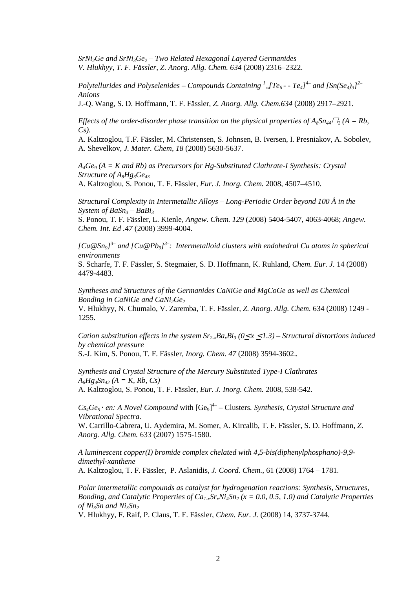*SrNi2Ge and SrNi3Ge2 – Two Related Hexagonal Layered Germanides V. Hlukhyy, T. F. Fässler, Z. Anorg. Allg. Chem. 634* (2008) 2316–2322.

*Polytellurides and Polyselenides – Compounds Containing <sup>1</sup>* <sub>«</sub> $[Te_6$  -  $Te_4$ ]<sup> $+$ </sup> and  $[Sn(Se_4)_3]$ <sup>2–</sup> *Anions* 

J.-Q. Wang, S. D. Hoffmann, T. F. Fässler, *Z. Anorg. Allg. Chem.634* (2008) 2917–2921.

*Effects of the order-disorder phase transition on the physical properties of*  $A_8Sn_{44}Z_2$  *(A = Rb,*  $\overline{a}$ *) Cs).* 

A. Kaltzoglou, T.F. Fässler, M. Christensen, S. Johnsen, B. Iversen, I. Presniakov, A. Sobolev, A. Shevelkov, *J. Mater. Chem, 18* (2008) 5630-5637.

*A4Ge9 (A = K and Rb) as Precursors for Hg-Substituted Clathrate-I Synthesis: Crystal Structure of A8Hg3Ge<sup>43</sup>* A. Kaltzoglou*,* S*.* Ponou, T. F. Fässler, *Eur. J. Inorg. Chem.* 2008, 4507–4510.

*Structural Complexity in Intermetallic Alloys – Long-Periodic Order beyond 100 Å in the System of BaSn3 – BaBi<sup>3</sup>*

S. Ponou, T. F. Fässler, L. Kienle, *Angew. Chem. 129* (2008) 5404-5407, 4063-4068; *Angew. Chem. Int. Ed .47* (2008) 3999-4004.

*[Cu@Sn9] 3– and [Cu@Pb9] 3–: Intermetalloid clusters with endohedral Cu atoms in spherical environments*

S. Scharfe, T. F. Fässler, S. Stegmaier, S. D. Hoffmann, K. Ruhland, *Chem. Eur. J.* 14 (2008) 4479-4483.

*Syntheses and Structures of the Germanides CaNiGe and MgCoGe as well as Chemical Bonding in CaNiGe and CaNi2Ge<sup>2</sup>*

V. Hlukhyy, N. Chumalo, V. Zaremba, T. F. Fässler, *Z. Anorg. Allg. Chem.* 634 (2008) 1249 - 1255.

*Cation substitution effects in the system*  $Sr_2xBa_xBi_3$  *(* $0 \le x \le 1.3$ *) – Structural distortions induced by chemical pressure* 

S.-J. Kim, S. Ponou, T. F. Fässler*, Inorg. Chem. 47* (2008) 3594-3602.*.* 

*Synthesis and Crystal Structure of the Mercury Substituted Type-I Clathrates*   $A_8Hg_4Sn_4$ <sup>2</sup> $(A = K, Rb, Cs)$ 

A. Kaltzoglou, S. Ponou, T. F. Fässler, *Eur. J. Inorg. Chem.* 2008, 538-542.

 $Cs<sub>4</sub>Ge<sub>9</sub> · en: A Novel Compound with [Ge<sub>9</sub>]<sup>4</sup> – Clusters. Synthesis, Crystal Structure and$ *Vibrational Spectra.* 

W. Carrillo-Cabrera, U. Aydemira, M. Somer, A. Kircalib, T. F. Fässler, S. D. Hoffmann*, Z. Anorg. Allg. Chem.* 633 (2007) 1575-1580.

*A luminescent copper(I) bromide complex chelated with 4,5-bis(diphenylphosphano)-9,9 dimethyl-xanthene* 

A. Kaltzoglou, T. F. Fässler, P. Aslanidis, *J. Coord. Chem.,* 61 (2008) 1764 – 1781.

*Polar intermetallic compounds as catalyst for hydrogenation reactions: Synthesis, Structures, Bonding, and Catalytic Properties of*  $Ca_{1-x}Sr_xNi_4Sn_2$  *(* $x = 0.0, 0.5, 1.0$ *) and Catalytic Properties of Ni3Sn and Ni3Sn<sup>2</sup>*

V. Hlukhyy, F. Raif, P. Claus, T. F. Fässler, *Chem. Eur. J.* (2008) 14, 3737-3744.